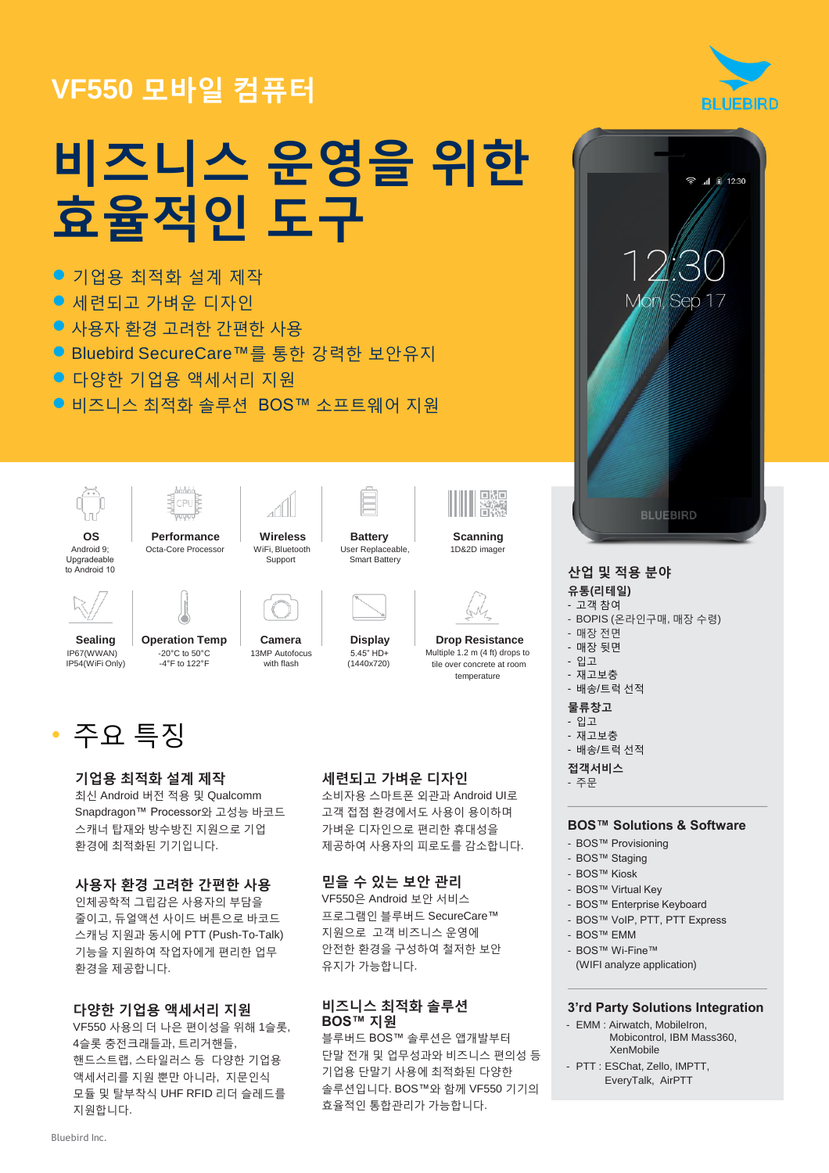# **VF550** 모바일 컴퓨터



- 기업용 최적화 설계 제작
- 세련되고 가벼운 디자인
- 사용자 환경 고려한 간편한 사용
- Bluebird SecureCare™를 통한 강력한 보안유지
- 다양한 기업용 액세서리 지원
- 비즈니스 최적화 솔루션 BOS™ 소프트웨어 지워

**Wireless** WiFi, Bluetooth Support





Android 9; Upgradeable to Android 10

Octa-Core Processor



**Sealing** IP67(WWAN) IP54(WiFi Only)

**Operation Temp** -20°C to 50°C -4°F to 122°F **Camera** 13MP Autofocus with flash



## 기업용 최적화 설계 제작

최신 Android 버전 적용 및 Qualcomm Snapdragon™ Processor와 고성능 바코드 스캐너 탑재와 방수방진 지원으로 기업 환경에 최적화된 기기입니다.

#### 사용자 환경 고려한 간편한 사용

인체공학적 그립감은 사용자의 부담을 줄이고, 듀얼액션 사이드 버튼으로 바코드 스캐닝 지원과 동시에 PTT (Push-To-Talk) 기능을 지원하여 작업자에게 편리한 업무 환경을 제공합니다.

### 다양한 기업용 액세서리 지원

VF550 사용의 더 나은 편이성을 위해 1슬롯, 4슬롯 충전크래들과, 트리거핸들, 핸드스트랩, 스타일러스 등 다양한 기업용 액세서리를 지원 뿐만 아니라, 지문인식 모듈 및 탈부착식 UHF RFID 리더 슬레드를 지원합니다.

### 세련되고 가벼운 디자인  $\frac{1}{2}$ 주문

**Battery** User Replaceable, Smart Battery

**Scanning** 1D&2D imager

回版<br>首次版

**Drop Resistance** Multiple 1.2 m (4 ft) drops to tile over concrete at room temperature

**Display** 5.45" HD+ (1440x720)

소비자용 스마트폰 외관과 Android UI로 고객 접점 환경에서도 사용이 용이하며 가벼운 디자인으로 편리한 휴대성을 제공하여 사용자의 피로도를 감소합니다.

## 믿을 수 있는 보안 관리

VF550은 Android 보안 서비스 프로그램인 블루버드 SecureCare™ 지원으로 고객 비즈니스 운영에 안전한 환경을 구성하여 철저한 보안 유지가 가능합니다.

## 비즈니스 최적화 솔루션 **BOS™** 지원

블루버드 BOS™ 솔루션은 앱개발부터 단말 전개 및 업무성과와 비즈니스 편의성 등 기업용 단말기 사용에 최적화된 다양한 솔루션입니다. BOS™와 함께 VF550 기기의 효율적인 통합관리가 가능합니다.



## 산업 및 적용 분야

## 유통**(**리테일**)**

- 고객 참여
- BOPIS (온라인구매, 매장 수령)
- 매장 전면
- 매장 뒷면
- 입고
- 재고보충
- 배송/트럭 선적

## 물류창고

- 입고
- 재고보충 - 배송/트럭 선적
- 

접객서비스

#### **BOS™ Solutions & Software**

- BOS™ Provisioning
- BOS™ Staging
- BOS™ Kiosk
- BOS™ Virtual Key
- BOS™ Enterprise Keyboard
- BOS™ VoIP, PTT, PTT Express
- BOS™ EMM
- BOS™ Wi-Fine™
- (WIFI analyze application)

### **3'rd Party Solutions Integration**

- EMM : Airwatch, MobileIron, Mobicontrol, IBM Mass360, XenMobile
- PTT : ESChat, Zello, IMPTT, EveryTalk, AirPTT